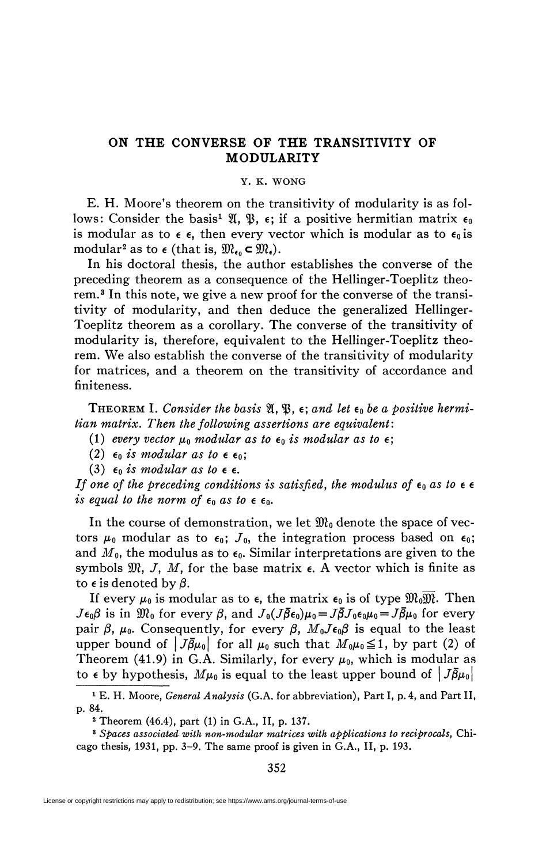## **ON THE CONVERSE OF THE TRANSITIVITY OF MODULARITY**

## Y. K. WONG

E. H. Moore's theorem on the transitivity of modularity is as follows: Consider the basis<sup>1</sup>  $\mathfrak{A}, \mathfrak{B}, \epsilon$ ; if a positive hermitian matrix  $\epsilon_0$ is modular as to  $\epsilon$ , then every vector which is modular as to  $\epsilon_0$  is modular<sup>2</sup> as to  $\epsilon$  (that is,  $\mathfrak{M}_{\epsilon_0} \subset \mathfrak{M}_{\epsilon}$ ).

In his doctoral thesis, the author establishes the converse of the preceding theorem as a consequence of the Hellinger-Toeplitz theorem.<sup>3</sup> In this note, we give a new proof for the converse of the transitivity of modularity, and then deduce the generalized Hellinger-Toeplitz theorem as a corollary. The converse of the transitivity of modularity is, therefore, equivalent to the Hellinger-Toeplitz theorem. We also establish the converse of the transitivity of modularity for matrices, and a theorem on the transitivity of accordance and finiteness.

THEOREM I. Consider the basis  $\mathfrak{A}, \mathfrak{B}, \epsilon$ ; and let  $\epsilon_0$  be a positive hermi*tian matrix. Then the following assertions are equivalent* :

(1) every vector  $\mu_0$  modular as to  $\epsilon_0$  is modular as to  $\epsilon$ ;

(2)  $\epsilon_0$  *is modular as to*  $\epsilon$   $\epsilon_0$ ;

(3)  $\epsilon_0$  *is modular as to*  $\epsilon$ .

*If one of the preceding conditions is satisfied, the modulus of*  $\epsilon_0$  *as to*  $\epsilon \epsilon$ *is equal to the norm of*  $\epsilon_0$  *as to*  $\epsilon$   $\epsilon_0$ *.* 

In the course of demonstration, we let  $\mathfrak{M}_0$  denote the space of vectors  $\mu_0$  modular as to  $\epsilon_0$ ;  $J_0$ , the integration process based on  $\epsilon_0$ ; and  $M_0$ , the modulus as to  $\epsilon_0$ . Similar interpretations are given to the symbols  $\mathfrak{M}, J, M$ , for the base matrix  $\epsilon$ . A vector which is finite as to  $\epsilon$  is denoted by  $\beta$ .

If every  $\mu_0$  is modular as to  $\epsilon$ , the matrix  $\epsilon_0$  is of type  $\mathfrak{M}_0\overline{\mathfrak{M}}$ . Then  $J\epsilon_0\beta$  is in  $\mathfrak{M}_0$  for every  $\beta$ , and  $J_0(J\bar{\beta}\epsilon_0)\mu_0 = J\bar{\beta}J_0\epsilon_0\mu_0 = J\bar{\beta}\mu_0$  for every pair  $\beta$ ,  $\mu_0$ . Consequently, for every  $\beta$ ,  $M_0J\epsilon_0\beta$  is equal to the least upper bound of  $|J\bar{\beta}\mu_0|$  for all  $\mu_0$  such that  $M_0\mu_0 \leq 1$ , by part (2) of Theorem (41.9) in G.A. Similarly, for every  $\mu_0$ , which is modular as to  $\epsilon$  by hypothesis,  $M\mu_0$  is equal to the least upper bound of  $|J\bar{\beta}\mu_0|$ 

<sup>&</sup>lt;sup>1</sup> E. H. Moore, *General Analysis* (G.A. for abbreviation), Part I, p. 4, and Part II, p. 84.

*<sup>2</sup>* Theorem (46.4), part (1) in G.A., II, p. 137.

<sup>3</sup>  *Spaces associated with non-modular matrices with applications to reciprocals,* Chicago thesis, 1931, pp. 3-9. The same proof is given in G.A., II, p. 193.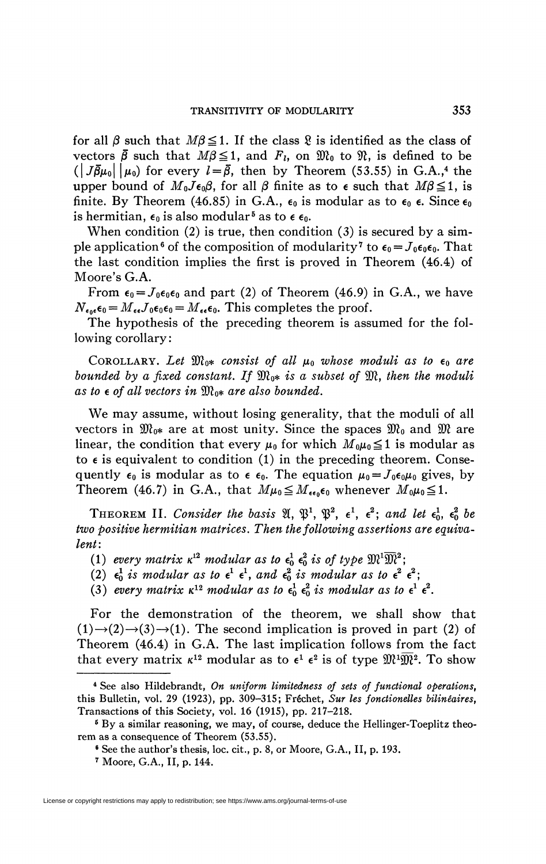for all  $\beta$  such that  $M\beta \leq 1$ . If the class  $\chi$  is identified as the class of vectors  $\bar{\beta}$  such that  $M\beta \leq 1$ , and  $F_t$ , on  $\mathfrak{M}_0$  to  $\mathfrak{N}_t$ , is defined to be  $(|J\bar{\beta}\mu_0||\mu_0)$  for every  $l=\bar{\beta}$ , then by Theorem (53.55) in G.A.,<sup>4</sup> the upper bound of  $M_0J\epsilon_0\beta$ , for all  $\beta$  finite as to  $\epsilon$  such that  $M\beta \leq 1$ , is finite. By Theorem (46.85) in G.A.,  $\epsilon_0$  is modular as to  $\epsilon_0$   $\epsilon$ . Since  $\epsilon_0$ is hermitian,  $\epsilon_0$  is also modular<sup>5</sup> as to  $\epsilon$   $\epsilon_0$ .

When condition  $(2)$  is true, then condition  $(3)$  is secured by a simple application<sup>6</sup> of the composition of modularity<sup>7</sup> to  $\epsilon_0 = J_0 \epsilon_0 \epsilon_0$ . That the last condition implies the first is proved in Theorem (46.4) of Moore's G.A.

From  $\epsilon_0 = J_0 \epsilon_0 \epsilon_0$  and part (2) of Theorem (46.9) in G.A., we have  $N_{\epsilon_0 \epsilon} \epsilon_0 = M_{\epsilon \epsilon} J_0 \epsilon_0 \epsilon_0 = M_{\epsilon \epsilon} \epsilon_0$ . This completes the proof.

The hypothesis of the preceding theorem is assumed for the following corollary:

COROLLARY. Let  $\mathfrak{M}_{0^*}$  consist of all  $\mu_0$  whose moduli as to  $\epsilon_0$  are *bounded by a fixed constant. If*  $\mathfrak{M}_{0*}$  *is a subset of*  $\mathfrak{M}$ *, then the moduli*  $as$  to  $\epsilon$  of all vectors in  $\mathfrak{M}_{0*}$  are also bounded.

We may assume, without losing generality, that the moduli of all vectors in  $\mathfrak{M}_{0*}$  are at most unity. Since the spaces  $\mathfrak{M}_0$  and  $\mathfrak{M}$  are linear, the condition that every  $\mu_0$  for which  $M_0\mu_0 \leq 1$  is modular as to  $\epsilon$  is equivalent to condition (1) in the preceding theorem. Consequently  $\epsilon_0$  is modular as to  $\epsilon$   $\epsilon_0$ . The equation  $\mu_0 = J_0 \epsilon_0 \mu_0$  gives, by Theorem (46.7) in G.A., that  $M\mu_0 \leq M_{\epsilon\epsilon_0}\epsilon_0$  whenever  $M_0\mu_0 \leq 1$ .

THEOREM II. Consider the basis  $\mathfrak{A}, \mathfrak{P}^1, \mathfrak{P}^2, \epsilon^1, \epsilon^2$ ; and let  $\epsilon_0^1, \epsilon_0^2$  be *two positive hermitian matrices. Then the following assertions are equivalent:* 

- (1) every matrix  $\kappa^{12}$  modular as to  $\epsilon_0^1$   $\epsilon_0^2$  is of type  $\mathfrak{M}^1\overline{\mathfrak{M}}^2$ ;
- (2)  $\epsilon_0^1$  *is modular as to*  $\epsilon^1$   $\epsilon^1$ *, and*  $\epsilon_0^2$  *is modular as to*  $\epsilon^2$   $\epsilon^2$ *;*
- (3) every matrix  $\kappa^{12}$  modular as to  $\epsilon_0^1$   $\epsilon_0^2$  is modular as to  $\epsilon^1$   $\epsilon^2$ .

For the demonstration of the theorem, we shall show that  $(1) \rightarrow (2) \rightarrow (3) \rightarrow (1)$ . The second implication is proved in part (2) of Theorem (46.4) in G.A. The last implication follows from the fact that every matrix  $\kappa^{12}$  modular as to  $\epsilon^1$   $\epsilon^2$  is of type  $\mathfrak{M}^1\overline{\mathfrak{M}}^2$ . To show

<sup>4</sup> See also Hildebrandt, *On uniform limitedness of sets of functional operations,*  this Bulletin, vol. 29 (1923), pp. 309-315; Fréchet, *Sur les fonctionelles bilinêaires,*  Transactions of this Society, vol. 16 (1915), pp. 217-218.

<sup>&</sup>lt;sup>5</sup> By a similar reasoning, we may, of course, deduce the Hellinger-Toeplitz theorem as a consequence of Theorem (53.55).

<sup>6</sup> See the author's thesis, loc. cit., p. 8, or Moore, G.A., II, p. 193.

*<sup>1</sup>* Moore, G.A., II, p. 144.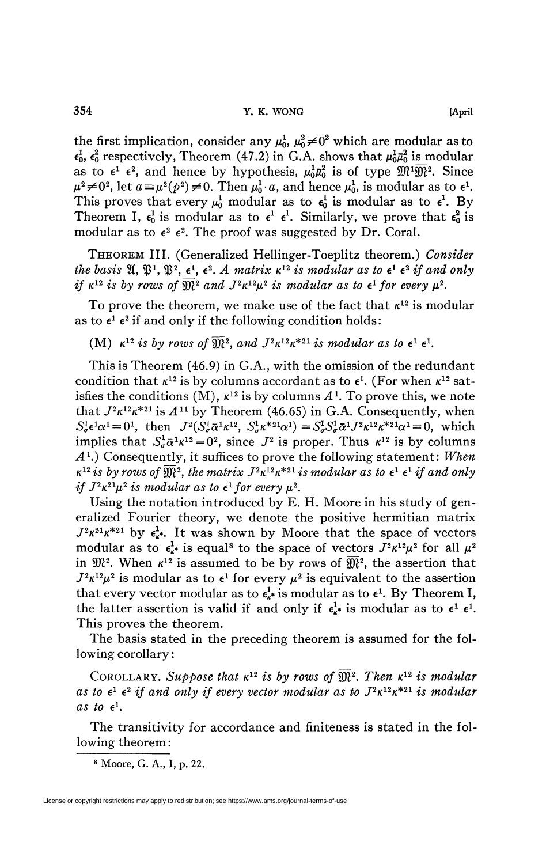the first implication, consider any  $\mu_0^1$ ,  $\mu_0^2 \neq 0^2$  which are modular as to  $\epsilon_0^1$ ,  $\epsilon_0^2$  respectively, Theorem (47.2) in G.A. shows that  $\mu_0^1 \bar{\mu}_0^2$  is modular as to  $\epsilon^1$   $\epsilon^2$ , and hence by hypothesis,  $\mu_0^1 \bar{\mu}_0^2$  is of type  $\mathfrak{M}^1 \overline{\mathfrak{M}}^2$ . Since  $\mu^2 \neq 0^2$ , let  $a \equiv \mu^2(p^2) \neq 0$ . Then  $\mu_0^1 \cdot a$ , and hence  $\mu_0^1$ , is modular as to  $\epsilon^1$ . This proves that every  $\mu_0^1$  modular as to  $\epsilon_0^1$  is modular as to  $\epsilon^1$ . By Theorem I,  $\epsilon_0^1$  is modular as to  $\epsilon^1$   $\epsilon^1$ . Similarly, we prove that  $\epsilon_0^2$  is modular as to  $\epsilon^2 \epsilon^2$ . The proof was suggested by Dr. Coral.

THEOREM III. (Generalized Hellinger-Toeplitz theorem.) *Consider*  the basis  $\mathfrak{A}, \mathfrak{P}^1, \mathfrak{P}^2, \epsilon^1, \epsilon^2$ . A matrix  $\kappa^{12}$  is modular as to  $\epsilon^1$   $\epsilon^2$  if and only *if*  $\kappa^{12}$  *is by rows of*  $\overline{\mathfrak{M}}^2$  *and*  $J^2 \kappa^{12} \mu^2$  *is modular as to*  $\epsilon^1$  *for every*  $\mu^2$ .

To prove the theorem, we make use of the fact that  $\kappa^{12}$  is modular as to  $\epsilon^1$   $\epsilon^2$  if and only if the following condition holds:

(M)  $\kappa^{12}$  *is by rows of*  $\widehat{\mathfrak{M}}^2$ , and  $J^2\kappa^{12}\kappa^{*21}$  *is modular as to*  $\epsilon^1$   $\epsilon^1$ .

This is Theorem (46.9) in G.A., with the omission of the redundant condition that  $\kappa^{12}$  is by columns accordant as to  $\epsilon^1$ . (For when  $\kappa^{12}$  satisfies the conditions (M),  $\kappa^{12}$  is by columns  $A^1$ . To prove this, we note that  $J^2 \kappa^{12} \kappa^{*21}$  is  $A^{11}$  by Theorem (46.65) in G.A. Consequently, when  $S^1_{\sigma} \epsilon^1 \alpha^1 = 0^1$ , then  $J^2 (S^1_{\sigma} \bar{\alpha}^1 \kappa^{12}, S^1_{\sigma} \kappa^{*21} \alpha^1) = S^1_{\sigma} S^1_{\sigma} \bar{\alpha}^1 J^2 \kappa^{12} \kappa^{*21} \alpha^1 = 0$ , which implies that  $S^1_{\sigma} \bar{\alpha}^1 \kappa^{12} = 0^2$ , since  $J^2$  is proper. Thus  $\kappa^{12}$  is by columns -4<sup>1</sup> .) Consequently, it suffices to prove the following statement: *When*   $\kappa^{12}$  *is by rows of*  $\widehat{\mathfrak{M}}^2$ , the matrix  $J^2 \kappa^{12} \kappa^{*21}$  *is modular as to*  $\epsilon^1$   $\epsilon^1$  *if and only if*  $J^2 \kappa^{21} \mu^2$  *is modular as to*  $\epsilon^1$  *for every*  $\mu^2$ *.* 

Using the notation introduced by E. H. Moore in his study of generalized Fourier theory, we denote the positive hermitian matrix  $J^2\kappa^{21}\kappa^{*21}$  by  $\epsilon^1_{\kappa^*}$ . It was shown by Moore that the space of vectors modular as to  $\epsilon_{\kappa}^1$  is equal<sup>8</sup> to the space of vectors  $J^2 \kappa^{12} \mu^2$  for all  $\mu^2$ in  $\mathfrak{M}^2$ . When  $\kappa^{12}$  is assumed to be by rows of  $\overline{\mathfrak{M}}^2$ , the assertion that  $J^2 \kappa^{12} \mu^2$  is modular as to  $\epsilon^1$  for every  $\mu^2$  is equivalent to the assertion that every vector modular as to  $\epsilon_{\kappa}^1$  is modular as to  $\epsilon^1$ . By Theorem I, the latter assertion is valid if and only if  $\epsilon_k^1$  is modular as to  $\epsilon^1$   $\epsilon^1$ . This proves the theorem.

The basis stated in the preceding theorem is assumed for the following corollary:

COROLLARY. Suppose that  $\kappa^{12}$  is by rows of  $\widehat{\mathfrak{M}}^2$ . Then  $\kappa^{12}$  is modular as to  $\epsilon^1$   $\epsilon^2$  if and only if every vector modular as to  $J^2\kappa^{12}\kappa^{*21}$  is modular as to  $\epsilon^1$ .

The transitivity for accordance and finiteness is stated in the following theorem :

8 Moore, G. A., I, p. 22.